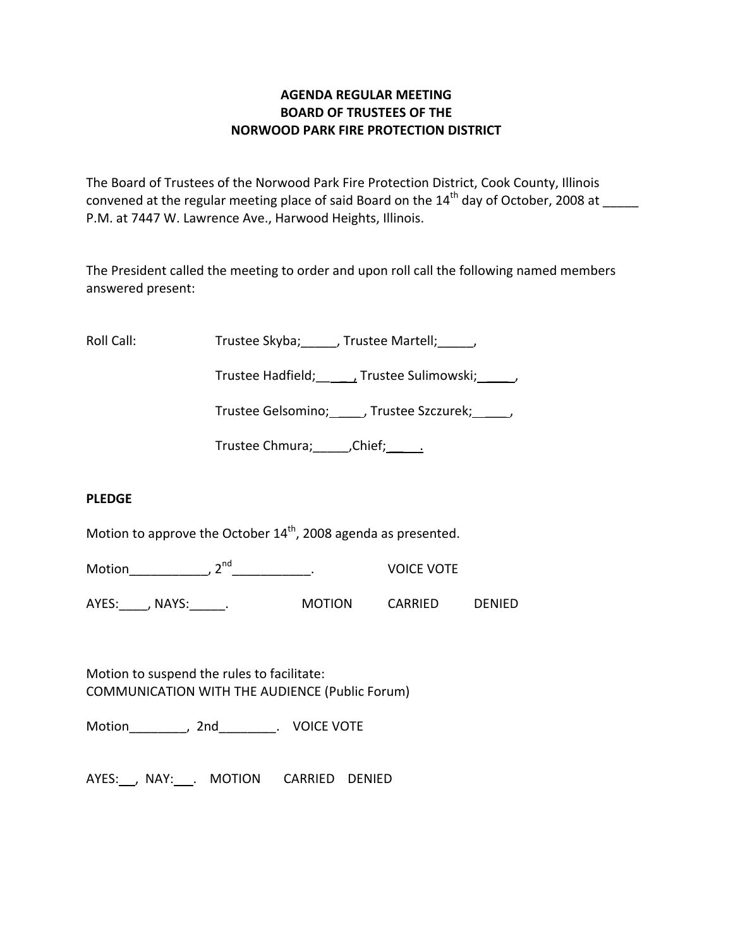## **AGENDA REGULAR MEETING BOARD OF TRUSTEES OF THE NORWOOD PARK FIRE PROTECTION DISTRICT**

The Board of Trustees of the Norwood Park Fire Protection District, Cook County, Illinois convened at the regular meeting place of said Board on the  $14<sup>th</sup>$  day of October, 2008 at P.M. at 7447 W. Lawrence Ave., Harwood Heights, Illinois.

The President called the meeting to order and upon roll call the following named members answered present:

Roll Call: Trustee Skyba; \_\_\_\_, Trustee Martell; \_\_\_\_\_,

Trustee Hadfield; Frustee Sulimowski; 3.1.

Trustee Gelsomino; \_\_\_\_\_, Trustee Szczurek; \_\_\_\_\_,

Trustee Chmura; \_\_\_\_\_\_, Chief; \_\_\_\_\_\_.

## **PLEDGE**

Motion to approve the October  $14^{th}$ , 2008 agenda as presented.

Motion\_\_\_\_\_\_\_\_\_\_\_\_, 2<sup>nd</sup>\_\_\_\_\_\_\_\_\_\_\_\_\_\_. VOICE VOTE

AYES: NAYS: NAYS: Nortion CARRIED DENIED

Motion to suspend the rules to facilitate: COMMUNICATION WITH THE AUDIENCE (Public Forum)

Motion\_\_\_\_\_\_\_\_, 2nd\_\_\_\_\_\_\_\_. VOICE VOTE

AYES: , NAY: . MOTION CARRIED DENIED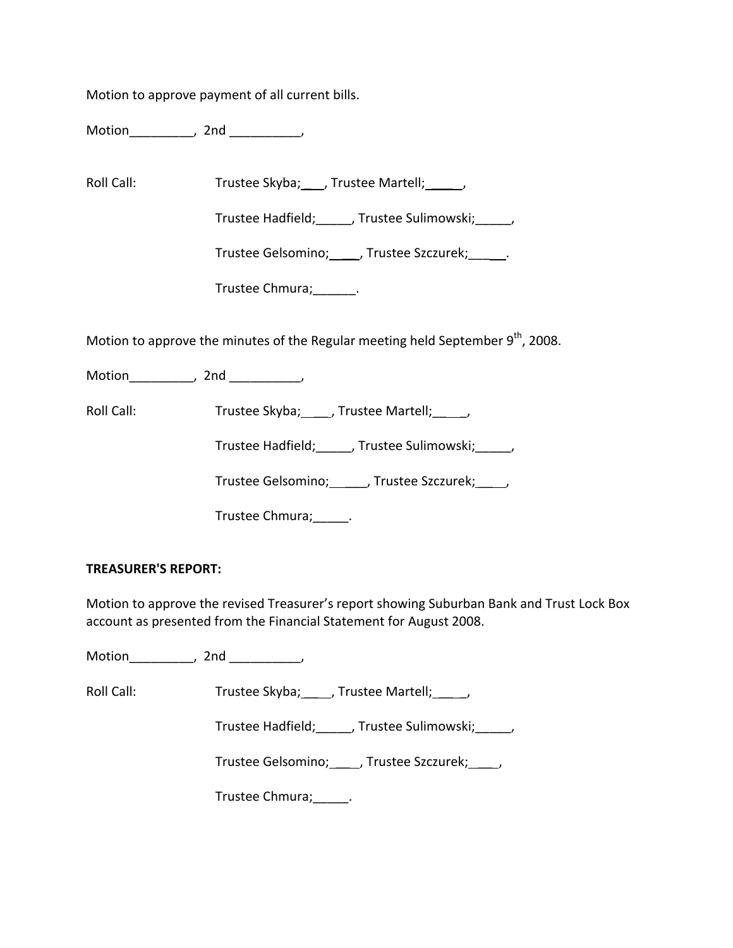Motion to approve payment of all current bills.

Motion\_\_\_\_\_\_\_\_\_, 2nd \_\_\_\_\_\_\_\_\_\_,

Roll Call: Trustee Skyba; \_\_\_, Trustee Martell; \_\_\_\_\_,

Trustee Hadfield;\_\_\_\_\_, Trustee Sulimowski;\_\_\_\_\_,

Trustee Gelsomino; \_\_\_\_\_, Trustee Szczurek; \_\_\_\_\_\_.

Trustee Chmura;\_\_\_\_\_\_.

Motion to approve the minutes of the Regular meeting held September  $9<sup>th</sup>$ , 2008.

Motion\_\_\_\_\_\_\_\_\_\_, 2nd \_\_\_\_\_\_\_\_\_,

Roll Call: Trustee Skyba; \_\_\_, Trustee Martell; \_\_\_,

Trustee Hadfield;\_\_\_\_\_, Trustee Sulimowski;\_\_\_\_\_,

Trustee Gelsomino; \_\_\_\_\_, Trustee Szczurek; \_\_\_\_,

Trustee Chmura;\_\_\_\_\_.

## **TREASURER'S REPORT:**

Motion to approve the revised Treasurer's report showing Suburban Bank and Trust Lock Box account as presented from the Financial Statement for August 2008.

Motion\_\_\_\_\_\_\_\_\_, 2nd \_\_\_\_\_\_\_\_\_\_,

Roll Call: Trustee Skyba; \_\_\_\_, Trustee Martell; \_\_\_\_\_,

Trustee Hadfield; frustee Sulimowski; frustee Hadfield;

Trustee Gelsomino; \_\_\_\_, Trustee Szczurek; \_\_\_\_,

Trustee Chmura;\_\_\_\_\_.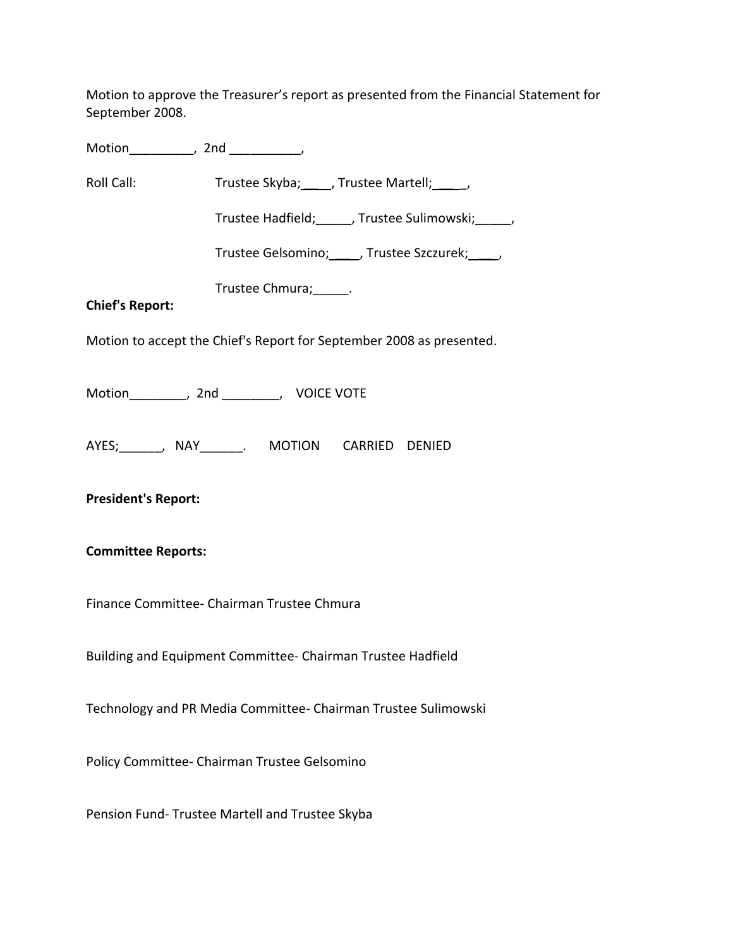Motion to approve the Treasurer's report as presented from the Financial Statement for September 2008.

Motion\_\_\_\_\_\_\_\_\_, 2nd \_\_\_\_\_\_\_\_\_\_, Roll Call: Trustee Skyba; \_\_\_\_, Trustee Martell; \_\_\_\_\_, Trustee Hadfield;\_\_\_\_\_, Trustee Sulimowski;\_\_\_\_\_, Trustee Gelsomino; \_\_\_\_\_, Trustee Szczurek; \_\_\_\_, Trustee Chmura;\_\_\_\_\_. **Chief's Report:** Motion to accept the Chief's Report for September 2008 as presented. Motion\_\_\_\_\_\_\_\_, 2nd \_\_\_\_\_\_\_\_, VOICE VOTE AYES;\_\_\_\_\_\_, NAY\_\_\_\_\_\_. MOTION CARRIED DENIED **President's Report: Committee Reports:** Finance Committee‐ Chairman Trustee Chmura Building and Equipment Committee‐ Chairman Trustee Hadfield Technology and PR Media Committee‐ Chairman Trustee Sulimowski

Policy Committee‐ Chairman Trustee Gelsomino

Pension Fund‐ Trustee Martell and Trustee Skyba